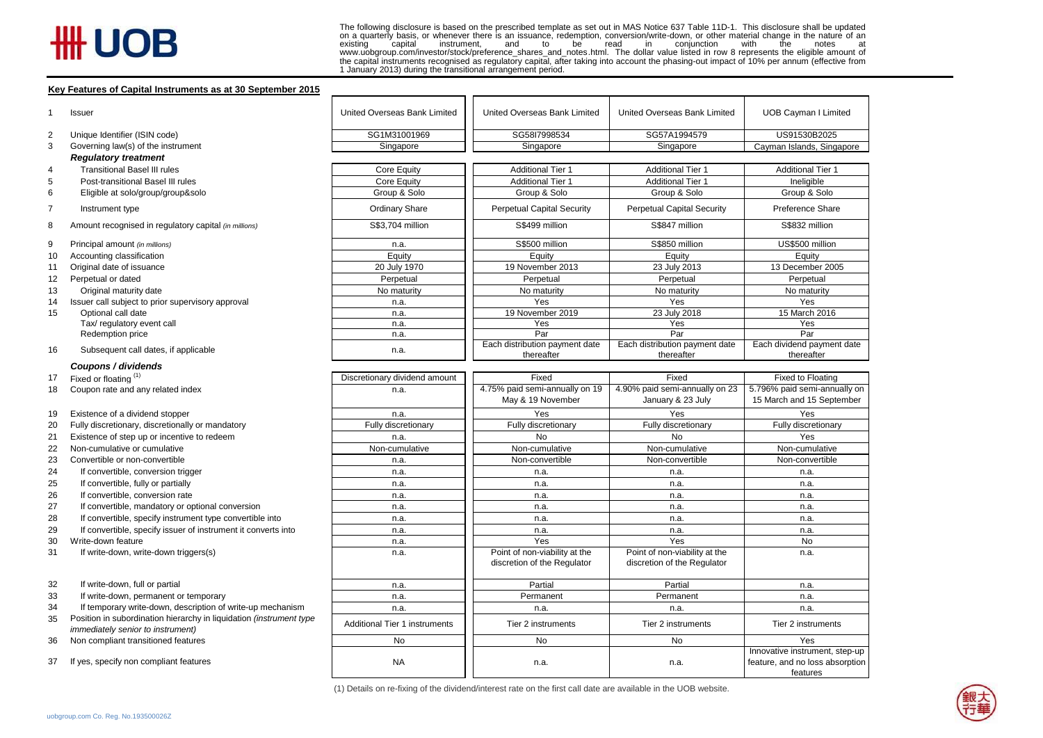## # UOB

The following disclosure is based on the prescribed template as set out in MAS Notice 637 Table 11D-1. This disclosure shall be updated on a quarterly basis, or whenever there is an issuance, redemption, conversion/write-down, or other material change in the nature of an existing capital instrument, and to be read in conjunction with the notes at instrument, and to be read in conjunction with the notes www.uobgroup.com/investor/stock/preference\_shares\_and\_notes.html. The dollar value listed in row 8 represents the eligible amount of<br>the capital instruments recognised as regulatory capital, after taking into account the p

## **Key Features of Capital Instruments as at 30 September 2015**

| 1  | Issuer                                                              | United Overseas Bank Limited         | United Overseas Bank Limited                        | United Overseas Bank Limited                        | UOB Cayman I Limited                                                          |
|----|---------------------------------------------------------------------|--------------------------------------|-----------------------------------------------------|-----------------------------------------------------|-------------------------------------------------------------------------------|
| 2  | Unique Identifier (ISIN code)                                       | SG1M31001969                         | SG58I7998534                                        | SG57A1994579                                        | US91530B2025                                                                  |
| 3  | Governing law(s) of the instrument                                  | Singapore                            | Singapore<br>Singapore                              |                                                     | Cayman Islands, Singapore                                                     |
|    | <b>Regulatory treatment</b>                                         |                                      |                                                     |                                                     |                                                                               |
| 4  | <b>Transitional Basel III rules</b>                                 | Core Equity                          | <b>Additional Tier 1</b>                            | <b>Additional Tier 1</b>                            | <b>Additional Tier 1</b>                                                      |
| 5  | Post-transitional Basel III rules                                   | Core Equity                          | <b>Additional Tier 1</b>                            | <b>Additional Tier 1</b>                            | Ineligible                                                                    |
| 6  | Eligible at solo/group/group&solo                                   | Group & Solo                         | Group & Solo                                        | Group & Solo                                        | Group & Solo                                                                  |
| 7  | Instrument type                                                     | <b>Ordinary Share</b>                | <b>Perpetual Capital Security</b>                   | <b>Perpetual Capital Security</b>                   | Preference Share                                                              |
| 8  | Amount recognised in regulatory capital (in millions)               | S\$3,704 million                     | S\$499 million                                      | S\$847 million                                      | S\$832 million                                                                |
| 9  | Principal amount (in millions)                                      | n.a.                                 | S\$500 million                                      | S\$850 million                                      | US\$500 million                                                               |
| 10 | Accounting classification                                           | Equity                               | Equity                                              | Equity                                              | Equity                                                                        |
| 11 | Original date of issuance                                           | 20 July 1970                         | 19 November 2013                                    | 23 July 2013                                        | 13 December 2005                                                              |
| 12 | Perpetual or dated                                                  | Perpetual                            | Perpetual                                           | Perpetual                                           | Perpetual                                                                     |
| 13 | Original maturity date                                              | No maturity                          | No maturity                                         | No maturity                                         | No maturity                                                                   |
| 14 | Issuer call subject to prior supervisory approval                   | n.a.                                 | Yes                                                 | Yes                                                 | Yes                                                                           |
| 15 | Optional call date                                                  | n.a.                                 | 19 November 2019                                    | 23 July 2018                                        | 15 March 2016                                                                 |
|    | Tax/ regulatory event call                                          | n.a.                                 | Yes                                                 | Yes                                                 | Yes                                                                           |
|    | Redemption price                                                    | n.a.                                 | Par                                                 | Par                                                 | Par                                                                           |
| 16 | Subsequent call dates, if applicable                                | n.a.                                 | Each distribution payment date<br>thereafter        | Each distribution payment date<br>thereafter        | Each dividend payment date<br>thereafter                                      |
|    | Coupons / dividends                                                 |                                      |                                                     |                                                     |                                                                               |
| 17 | Fixed or floating (1)                                               | Discretionary dividend amount        | Fixed                                               | Fixed                                               | Fixed to Floating                                                             |
| 18 | Coupon rate and any related index                                   | n.a.                                 | 4.75% paid semi-annually on 19<br>May & 19 November | 4.90% paid semi-annually on 23<br>January & 23 July | 5.796% paid semi-annually on<br>15 March and 15 September                     |
| 19 | Existence of a dividend stopper                                     | n.a.                                 | Yes                                                 | Yes                                                 | Yes                                                                           |
| 20 | Fully discretionary, discretionally or mandatory                    | Fully discretionary                  | Fully discretionary                                 | Fully discretionary                                 | Fully discretionary                                                           |
| 21 | Existence of step up or incentive to redeem                         | n.a.                                 | No                                                  | <b>No</b>                                           | Yes                                                                           |
| 22 | Non-cumulative or cumulative                                        | Non-cumulative                       | Non-cumulative                                      | Non-cumulative                                      | Non-cumulative                                                                |
| 23 | Convertible or non-convertible                                      | n.a.                                 | Non-convertible                                     | Non-convertible                                     | Non-convertible                                                               |
| 24 | If convertible, conversion trigger                                  | n.a.                                 | n.a.                                                | n.a.                                                | n.a.                                                                          |
| 25 | If convertible, fully or partially                                  | n.a.                                 | n.a.                                                | n.a.                                                | n.a.                                                                          |
| 26 | If convertible, conversion rate                                     | n.a.                                 | n.a.                                                | n.a.                                                | n.a.                                                                          |
| 27 | If convertible, mandatory or optional conversion                    | n.a.                                 | n.a.                                                | n.a.                                                | n.a.                                                                          |
| 28 | If convertible, specify instrument type convertible into            | n.a.                                 | n.a.                                                | n.a.                                                | n.a.                                                                          |
| 29 | If convertible, specify issuer of instrument it converts into       | n.a.                                 | n.a.                                                | n.a.                                                | n.a.                                                                          |
| 30 | Write-down feature                                                  | n.a.                                 | Yes                                                 | Yes                                                 | No                                                                            |
| 31 | If write-down, write-down triggers(s)                               | n.a.                                 | Point of non-viability at the                       | Point of non-viability at the                       | n.a.                                                                          |
|    |                                                                     |                                      | discretion of the Regulator                         | discretion of the Regulator                         |                                                                               |
| 32 | If write-down, full or partial                                      | n.a.                                 | Partial                                             | Partial                                             | n.a.                                                                          |
| 33 | If write-down, permanent or temporary                               | n.a.                                 | Permanent                                           | Permanent                                           | n.a.                                                                          |
| 34 | If temporary write-down, description of write-up mechanism          | n.a.                                 | n.a.                                                | n.a.                                                | n.a.                                                                          |
| 35 | Position in subordination hierarchy in liquidation (instrument type |                                      |                                                     |                                                     |                                                                               |
|    | immediately senior to instrument)                                   | <b>Additional Tier 1 instruments</b> | Tier 2 instruments                                  | Tier 2 instruments                                  | Tier 2 instruments                                                            |
| 36 | Non compliant transitioned features                                 | No                                   | No                                                  | No                                                  | Yes                                                                           |
| 37 | If yes, specify non compliant features                              | <b>NA</b>                            | n.a.                                                | n.a.                                                | Innovative instrument, step-up<br>feature, and no loss absorption<br>features |

(1) Details on re-fixing of the dividend/interest rate on the first call date are available in the UOB website.